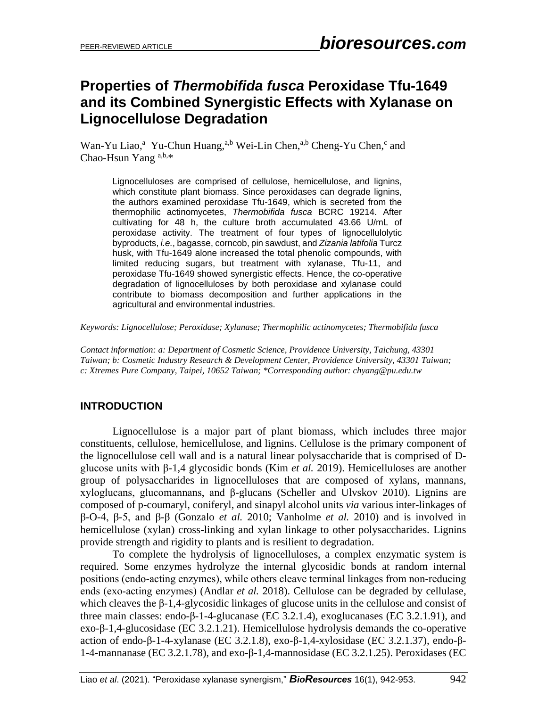# **Properties of** *Thermobifida fusca* **Peroxidase Tfu-1649 and its Combined Synergistic Effects with Xylanase on Lignocellulose Degradation**

Wan-Yu Liao,<sup>a</sup> Yu-Chun Huang,<sup>a,b</sup> Wei-Lin Chen,<sup>a,b</sup> Cheng-Yu Chen,<sup>c</sup> and Chao-Hsun Yang a,b,\*

Lignocelluloses are comprised of cellulose, hemicellulose, and lignins, which constitute plant biomass. Since peroxidases can degrade lignins, the authors examined peroxidase Tfu-1649, which is secreted from the thermophilic actinomycetes, *Thermobifida fusca* BCRC 19214. After cultivating for 48 h, the culture broth accumulated 43.66 U/mL of peroxidase activity. The treatment of four types of lignocellulolytic byproducts, *i.e.*, bagasse, corncob, pin sawdust, and *Zizania latifolia* Turcz husk, with Tfu-1649 alone increased the total phenolic compounds, with limited reducing sugars, but treatment with xylanase, Tfu-11, and peroxidase Tfu-1649 showed synergistic effects. Hence, the co-operative degradation of lignocelluloses by both peroxidase and xylanase could contribute to biomass decomposition and further applications in the agricultural and environmental industries.

*Keywords: Lignocellulose; Peroxidase; Xylanase; Thermophilic actinomycetes; Thermobifida fusca* 

*Contact information: a: Department of Cosmetic Science, Providence University, Taichung, 43301 Taiwan; b: Cosmetic Industry Research & Development Center, Providence University, 43301 Taiwan; c: Xtremes Pure Company, Taipei, 10652 Taiwan; \*Corresponding author: chyang@pu.edu.tw*

### **INTRODUCTION**

Lignocellulose is a major part of plant biomass, which includes three major constituents, cellulose, hemicellulose, and lignins. Cellulose is the primary component of the lignocellulose cell wall and is a natural linear polysaccharide that is comprised of Dglucose units with β-1,4 glycosidic bonds (Kim *et al.* 2019). Hemicelluloses are another group of polysaccharides in lignocelluloses that are composed of xylans, mannans, xyloglucans, glucomannans, and β-glucans (Scheller and Ulvskov 2010). Lignins are composed of p-coumaryl, coniferyl, and sinapyl alcohol units *via* various inter-linkages of β-O-4, β-5, and β-β (Gonzalo *et al.* 2010; Vanholme *et al.* 2010) and is involved in hemicellulose (xylan) cross-linking and xylan linkage to other polysaccharides. Lignins provide strength and rigidity to plants and is resilient to degradation.

To complete the hydrolysis of lignocelluloses, a complex enzymatic system is required. Some enzymes hydrolyze the internal glycosidic bonds at random internal positions (endo‐acting enzymes), while others cleave terminal linkages from non‐reducing ends (exo-acting enzymes) (Andlar *et al.* 2018). Cellulose can be degraded by cellulase, which cleaves the β-1,4-glycosidic linkages of glucose units in the cellulose and consist of three main classes: endo-β-1-4-glucanase (EC 3.2.1.4), exoglucanases (EC 3.2.1.91), and exo-β-1,4-glucosidase (EC 3.2.1.21). Hemicellulose hydrolysis demands the co-operative action of endo-β-1-4-xylanase (EC 3.2.1.8), exo-β-1,4-xylosidase (EC 3.2.1.37), endo-β-1-4-mannanase (EC 3.2.1.78), and exo-β-1,4-mannosidase (EC 3.2.1.25). Peroxidases (EC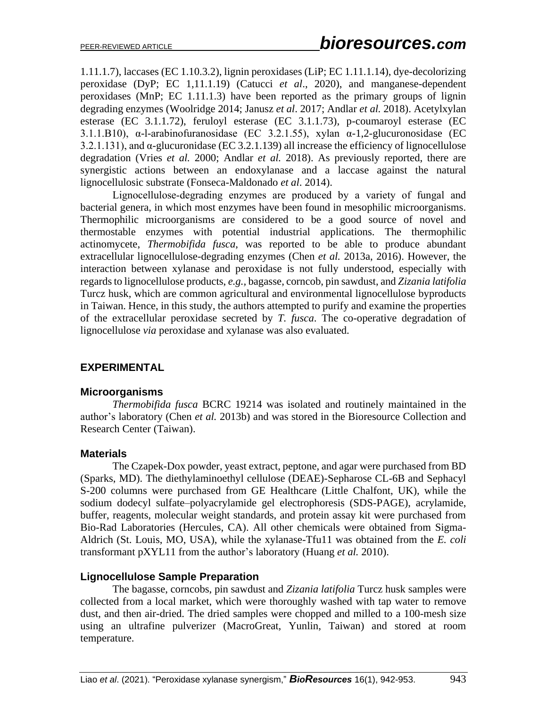1.11.1.7), laccases (EC 1.10.3.2), lignin peroxidases (LiP; EC 1.11.1.14), dye-decolorizing peroxidase (DyP; EC 1,11.1.19) (Catucci *et al*., 2020), and manganese-dependent peroxidases (MnP; EC 1.11.1.3) have been reported as the primary groups of lignin degrading enzymes (Woolridge 2014; Janusz *et al*. 2017; Andlar *et al.* 2018). Acetylxylan esterase (EC 3.1.1.72), feruloyl esterase (EC 3.1.1.73), p-coumaroyl esterase (EC 3.1.1.B10),  $\alpha$ -l-arabinofuranosidase (EC 3.2.1.55), xylan  $\alpha$ -1.2-glucuronosidase (EC 3.2.1.131), and α-glucuronidase (EC 3.2.1.139) all increase the efficiency of lignocellulose degradation (Vries *et al.* 2000; Andlar *et al.* 2018). As previously reported, there are synergistic actions between an endoxylanase and a laccase against the natural lignocellulosic substrate (Fonseca-Maldonado *et al*. 2014).

Lignocellulose‐degrading enzymes are produced by a variety of fungal and bacterial genera, in which most enzymes have been found in mesophilic microorganisms. Thermophilic microorganisms are considered to be a good source of novel and thermostable enzymes with potential industrial applications. The thermophilic actinomycete, *Thermobifida fusca*, was reported to be able to produce abundant extracellular lignocellulose-degrading enzymes (Chen *et al.* 2013a, 2016). However, the interaction between xylanase and peroxidase is not fully understood, especially with regards to lignocellulose products, *e.g.,* bagasse, corncob, pin sawdust, and *Zizania latifolia* Turcz husk, which are common agricultural and environmental lignocellulose byproducts in Taiwan. Hence, in this study, the authors attempted to purify and examine the properties of the extracellular peroxidase secreted by *T. fusca*. The co-operative degradation of lignocellulose *via* peroxidase and xylanase was also evaluated.

# **EXPERIMENTAL**

### **Microorganisms**

*Thermobifida fusca* BCRC 19214 was isolated and routinely maintained in the author's laboratory (Chen *et al.* 2013b) and was stored in the Bioresource Collection and Research Center (Taiwan).

### **Materials**

The Czapek-Dox powder, yeast extract, peptone, and agar were purchased from BD (Sparks, MD). The diethylaminoethyl cellulose (DEAE)-Sepharose CL-6B and Sephacyl S-200 columns were purchased from GE Healthcare (Little Chalfont, UK), while the sodium dodecyl sulfate–polyacrylamide gel electrophoresis (SDS-PAGE), acrylamide, buffer, reagents, molecular weight standards, and protein assay kit were purchased from Bio-Rad Laboratories (Hercules, CA). All other chemicals were obtained from Sigma-Aldrich (St. Louis, MO, USA), while the xylanase-Tfu11 was obtained from the *E. coli* transformant pXYL11 from the author's laboratory (Huang *et al.* 2010).

### **Lignocellulose Sample Preparation**

The bagasse, corncobs, pin sawdust and *Zizania latifolia* Turcz husk samples were collected from a local market, which were thoroughly washed with tap water to remove dust, and then air-dried. The dried samples were chopped and milled to a 100-mesh size using an ultrafine pulverizer (MacroGreat, Yunlin, Taiwan) and stored at room temperature.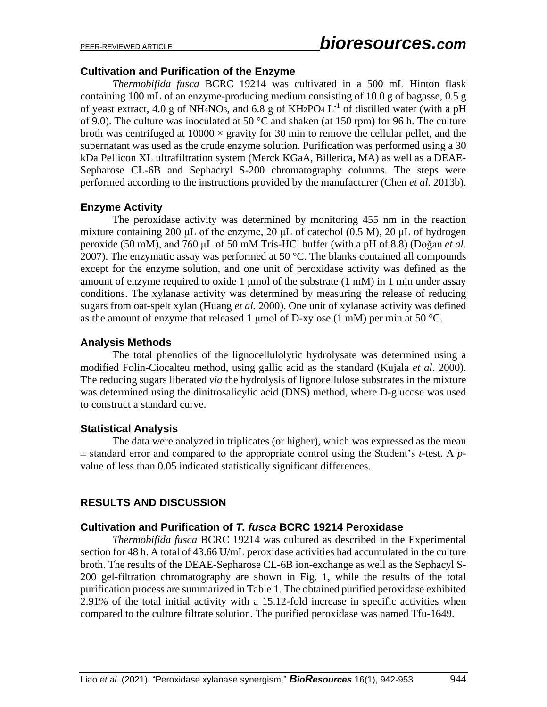### **Cultivation and Purification of the Enzyme**

*Thermobifida fusca* BCRC 19214 was cultivated in a 500 mL Hinton flask containing 100 mL of an enzyme-producing medium consisting of 10.0 g of bagasse, 0.5 g of yeast extract, 4.0 g of NH<sub>4</sub>NO<sub>3</sub>, and 6.8 g of KH<sub>2</sub>PO<sub>4</sub> L<sup>-1</sup> of distilled water (with a pH of 9.0). The culture was inoculated at 50  $^{\circ}$ C and shaken (at 150 rpm) for 96 h. The culture broth was centrifuged at  $10000 \times$  gravity for 30 min to remove the cellular pellet, and the supernatant was used as the crude enzyme solution. Purification was performed using a 30 kDa Pellicon XL ultrafiltration system (Merck KGaA, Billerica, MA) as well as a DEAE-Sepharose CL-6B and Sephacryl S-200 chromatography columns. The steps were performed according to the instructions provided by the manufacturer (Chen *et al*. 2013b).

## **Enzyme Activity**

The peroxidase activity was determined by monitoring 455 nm in the reaction mixture containing 200 μL of the enzyme, 20 μL of catechol  $(0.5 M)$ , 20 μL of hydrogen peroxide (50 mM), and 760 μL of 50 mM Tris-HCl buffer (with a pH of 8.8) (Doğan *et al.* 2007). The enzymatic assay was performed at 50  $^{\circ}$ C. The blanks contained all compounds except for the enzyme solution, and one unit of peroxidase activity was defined as the amount of enzyme required to oxide 1  $\mu$ mol of the substrate (1 mM) in 1 min under assay conditions. The xylanase activity was determined by measuring the release of reducing sugars from oat-spelt xylan (Huang *et al.* 2000). One unit of xylanase activity was defined as the amount of enzyme that released 1 µmol of D-xylose (1 mM) per min at 50  $^{\circ}$ C.

## **Analysis Methods**

The total phenolics of the lignocellulolytic hydrolysate was determined using a modified Folin-Ciocalteu method, using gallic acid as the standard (Kujala *et al*. 2000). The reducing sugars liberated *via* the hydrolysis of lignocellulose substrates in the mixture was determined using the dinitrosalicylic acid (DNS) method, where D-glucose was used to construct a standard curve.

### **Statistical Analysis**

The data were analyzed in triplicates (or higher), which was expressed as the mean ± standard error and compared to the appropriate control using the Student's *t*-test. A *p*value of less than 0.05 indicated statistically significant differences.

# **RESULTS AND DISCUSSION**

# **Cultivation and Purification of** *T. fusca* **BCRC 19214 Peroxidase**

*Thermobifida fusca* BCRC 19214 was cultured as described in the Experimental section for 48 h. A total of 43.66 U/mL peroxidase activities had accumulated in the culture broth. The results of the DEAE-Sepharose CL-6B ion-exchange as well as the Sephacyl S-200 gel-filtration chromatography are shown in Fig. 1, while the results of the total purification process are summarized in Table 1. The obtained purified peroxidase exhibited 2.91% of the total initial activity with a 15.12-fold increase in specific activities when compared to the culture filtrate solution. The purified peroxidase was named Tfu-1649.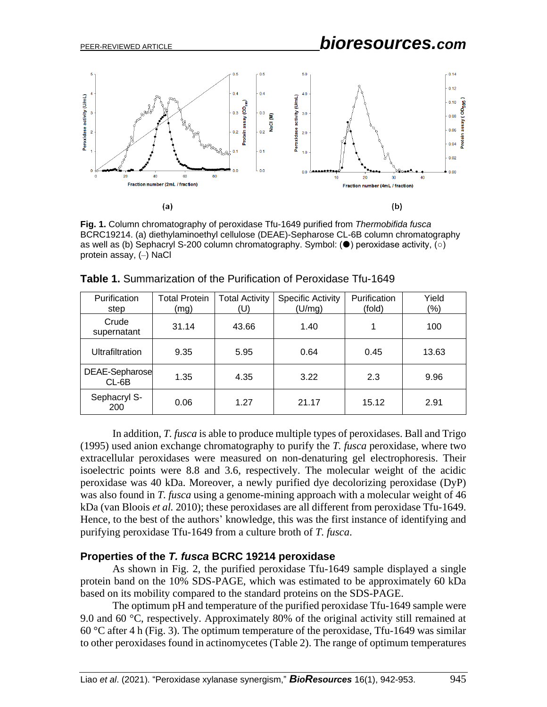

**Fig. 1.** Column chromatography of peroxidase Tfu-1649 purified from *Thermobifida fusca* BCRC19214. (a) diethylaminoethyl cellulose (DEAE)-Sepharose CL-6B column chromatography as well as (b) Sephacryl S-200 column chromatography. Symbol:  $(\bullet)$  peroxidase activity,  $(\circ)$ protein assay, (–) NaCl

| Purification<br>step    | <b>Total Protein</b><br>(mg) | <b>Total Activity</b><br>(U) | <b>Specific Activity</b><br>(U/mg) | Purification<br>(fold) | Yield<br>$(\% )$ |
|-------------------------|------------------------------|------------------------------|------------------------------------|------------------------|------------------|
| Crude<br>supernatant    | 31.14                        | 43.66                        | 1.40                               | 1                      | 100              |
| <b>Ultrafiltration</b>  | 9.35                         | 5.95                         | 0.64                               | 0.45                   | 13.63            |
| DEAE-Sepharose<br>CL-6B | 1.35                         | 4.35                         | 3.22                               | 2.3                    | 9.96             |
| Sephacryl S-<br>200     | 0.06                         | 1.27                         | 21.17                              | 15.12                  | 2.91             |

**Table 1.** Summarization of the Purification of Peroxidase Tfu-1649

In addition, *T. fusca* is able to produce multiple types of peroxidases. Ball and Trigo (1995) used anion exchange chromatography to purify the *T. fusca* peroxidase, where two extracellular peroxidases were measured on non-denaturing gel electrophoresis. Their isoelectric points were 8.8 and 3.6, respectively. The molecular weight of the acidic peroxidase was 40 kDa. Moreover, a newly purified dye decolorizing peroxidase (DyP) was also found in *T. fusca* using a genome-mining approach with a molecular weight of 46 kDa (van Bloois *et al.* 2010); these peroxidases are all different from peroxidase Tfu-1649. Hence, to the best of the authors' knowledge, this was the first instance of identifying and purifying peroxidase Tfu-1649 from a culture broth of *T. fusca*.

#### **Properties of the** *T. fusca* **BCRC 19214 peroxidase**

As shown in Fig. 2, the purified peroxidase Tfu-1649 sample displayed a single protein band on the 10% SDS-PAGE, which was estimated to be approximately 60 kDa based on its mobility compared to the standard proteins on the SDS-PAGE.

The optimum pH and temperature of the purified peroxidase Tfu-1649 sample were 9.0 and 60 °C, respectively. Approximately 80% of the original activity still remained at 60 °C after 4 h (Fig. 3). The optimum temperature of the peroxidase, Tfu-1649 was similar to other peroxidases found in actinomycetes (Table 2). The range of optimum temperatures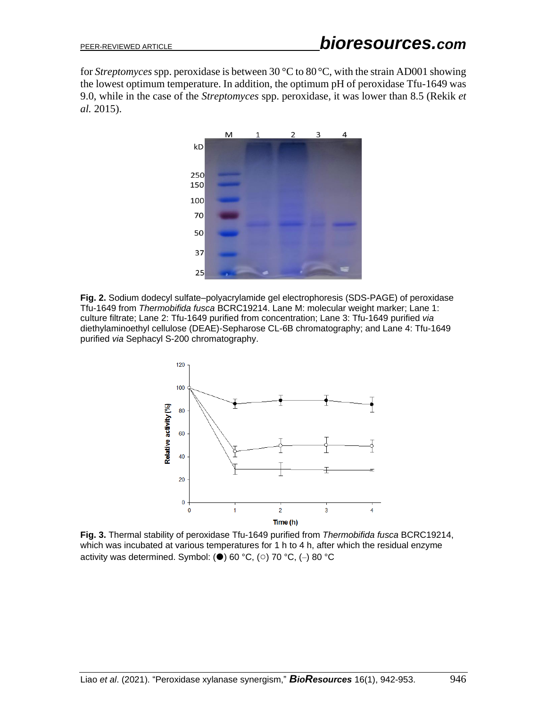for *Streptomyces* spp. peroxidase is between 30 °C to 80°C, with the strain AD001 showing the lowest optimum temperature. In addition, the optimum pH of peroxidase Tfu-1649 was 9.0, while in the case of the *Streptomyces* spp. peroxidase, it was lower than 8.5 (Rekik *et al.* 2015).



**Fig. 2.** Sodium dodecyl sulfate–polyacrylamide gel electrophoresis (SDS-PAGE) of peroxidase Tfu-1649 from *Thermobifida fusca* BCRC19214. Lane M: molecular weight marker; Lane 1: culture filtrate; Lane 2: Tfu-1649 purified from concentration; Lane 3: Tfu-1649 purified *via* diethylaminoethyl cellulose (DEAE)-Sepharose CL-6B chromatography; and Lane 4: Tfu-1649 purified *via* Sephacyl S-200 chromatography.



**Fig. 3.** Thermal stability of peroxidase Tfu-1649 purified from *Thermobifida fusca* BCRC19214, which was incubated at various temperatures for 1 h to 4 h, after which the residual enzyme activity was determined. Symbol: ( $\bullet$ ) 60 °C, ( $\circ$ ) 70 °C, ( $\circ$ ) 80 °C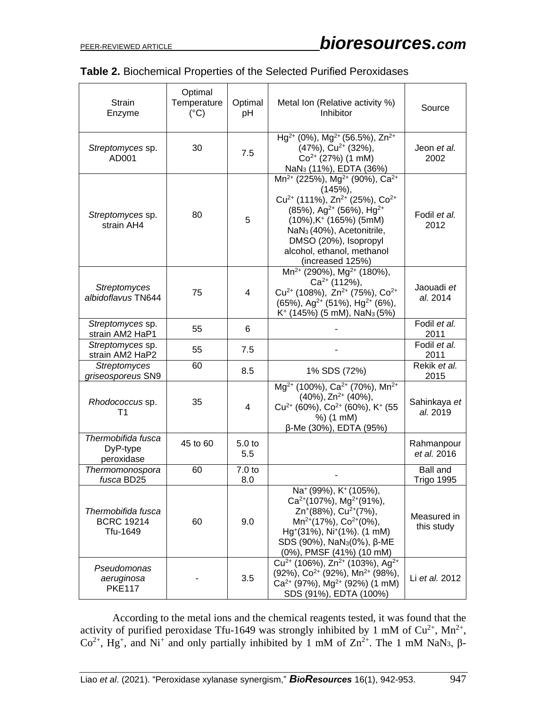|  |  |  | <b>Table 2. Biochemical Properties of the Selected Purified Peroxidases</b> |
|--|--|--|-----------------------------------------------------------------------------|
|  |  |  |                                                                             |

| <b>Strain</b><br>Enzyme                             | Optimal<br>Temperature<br>$(^{\circ}C)$ | Optimal<br>pH            | Metal Ion (Relative activity %)<br>Inhibitor                                                                                                                                                                                                                                                                                              | Source                               |
|-----------------------------------------------------|-----------------------------------------|--------------------------|-------------------------------------------------------------------------------------------------------------------------------------------------------------------------------------------------------------------------------------------------------------------------------------------------------------------------------------------|--------------------------------------|
| Streptomyces sp.<br>AD001                           | 30                                      | 7.5                      | Hg <sup>2+</sup> (0%), Mg <sup>2+</sup> (56.5%), Zn <sup>2+</sup><br>$(47\%)$ , Cu <sup>2+</sup> (32%),<br>$Co2+ (27%) (1 mM)$<br>NaN <sub>3</sub> (11%), EDTA (36%)                                                                                                                                                                      | Jeon et al.<br>2002                  |
| Streptomyces sp.<br>strain AH4                      | 80                                      | 5                        | $Mn^{2+}$ (225%), Mg <sup>2+</sup> (90%), Ca <sup>2+</sup><br>(145%)<br>$Cu^{2+}$ (111%), $Zn^{2+}$ (25%), $Co^{2+}$<br>$(85\%)$ , Ag <sup>2+</sup> (56%), Hg <sup>2+</sup><br>$(10\%)$ , K <sup>+</sup> (165%) (5mM)<br>NaN <sub>3</sub> (40%), Acetonitrile,<br>DMSO (20%), Isopropyl<br>alcohol, ethanol, methanol<br>(increased 125%) | Fodil et al.<br>2012                 |
| <b>Streptomyces</b><br>albidoflavus TN644           | 75                                      | $\overline{4}$           | $Mn^{2+}$ (290%), Mg <sup>2+</sup> (180%),<br>$Ca2+$ (112%),<br>$Cu^{2+}$ (108%), $Zn^{2+}$ (75%), $Co^{2+}$<br>$(65\%)$ , Ag <sup>2+</sup> (51%), Hg <sup>2+</sup> (6%),<br>$K^+$ (145%) (5 mM), NaN <sub>3</sub> (5%)                                                                                                                   | Jaouadi et<br>al. 2014               |
| Streptomyces sp.<br>strain AM2 HaP1                 | 55                                      | 6                        |                                                                                                                                                                                                                                                                                                                                           | Fodil et al.<br>2011                 |
| Streptomyces sp.<br>strain AM2 HaP2                 | 55                                      | 7.5                      |                                                                                                                                                                                                                                                                                                                                           | Fodil et al.<br>2011                 |
| <b>Streptomyces</b><br>griseosporeus SN9            | 60                                      | 8.5                      | 1% SDS (72%)                                                                                                                                                                                                                                                                                                                              | Rekik et al.<br>2015                 |
| Rhodococcus sp.<br>T <sub>1</sub>                   | 35                                      | 4                        | Mg <sup>2+</sup> (100%), Ca <sup>2+</sup> (70%), Mn <sup>2+</sup><br>$(40\%)$ , Zn <sup>2+</sup> $(40\%)$ ,<br>$Cu^{2+}$ (60%), $Co^{2+}$ (60%), K <sup>+</sup> (55<br>%) (1 mM)<br>β-Me (30%), EDTA (95%)                                                                                                                                | Sahinkaya et<br>al. 2019             |
| Thermobifida fusca<br>DyP-type<br>peroxidase        | 45 to 60                                | 5.0 <sub>to</sub><br>5.5 |                                                                                                                                                                                                                                                                                                                                           | Rahmanpour<br>et al. 2016            |
| Thermomonospora<br>fusca BD25                       | 60                                      | 7.0 to<br>8.0            |                                                                                                                                                                                                                                                                                                                                           | <b>Ball and</b><br><b>Trigo 1995</b> |
| Thermobifida fusca<br><b>BCRC 19214</b><br>Tfu-1649 | 60                                      | 9.0                      | Na <sup>+</sup> (99%), K <sup>+</sup> (105%),<br>Ca <sup>2+</sup> (107%), Mg <sup>2+</sup> (91%),<br>Zn <sup>+</sup> (88%), Cu <sup>2+</sup> (7%),<br>Mn <sup>2+</sup> (17%), Co <sup>2+</sup> (0%),<br>Hg <sup>+</sup> (31%), Ni <sup>+</sup> (1%). (1 mM)<br>SDS (90%), NaN <sub>3</sub> (0%), β-ME<br>(0%), PMSF (41%) (10 mM)         | Measured in<br>this study            |
| Pseudomonas<br>aeruginosa<br><b>PKE117</b>          |                                         | 3.5                      | $Cu^{2+}$ (106%), $Zn^{2+}$ (103%), Ag <sup>2+</sup><br>(92%), Co <sup>2+</sup> (92%), Mn <sup>2+</sup> (98%),<br>$Ca^{2+}$ (97%), Mg <sup>2+</sup> (92%) (1 mM)<br>SDS (91%), EDTA (100%)                                                                                                                                                | Li et al. 2012                       |

According to the metal ions and the chemical reagents tested, it was found that the activity of purified peroxidase Tfu-1649 was strongly inhibited by 1 mM of  $Cu^{2+}$ , Mn<sup>2+</sup>, Co<sup>2+</sup>, Hg<sup>+</sup>, and Ni<sup>+</sup> and only partially inhibited by 1 mM of  $\text{Zn}^{2+}$ . The 1 mM NaN<sub>3</sub>,  $\beta$ -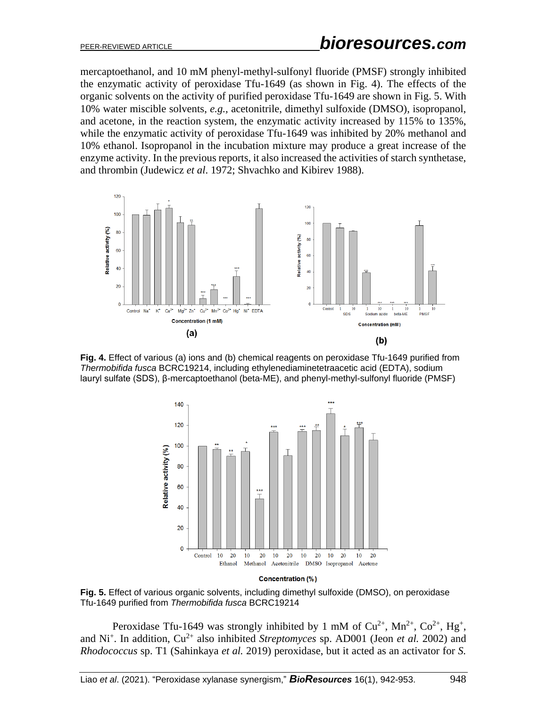mercaptoethanol, and 10 mM phenyl-methyl-sulfonyl fluoride (PMSF) strongly inhibited the enzymatic activity of peroxidase Tfu-1649 (as shown in Fig. 4). The effects of the organic solvents on the activity of purified peroxidase Tfu-1649 are shown in Fig. 5. With 10% water miscible solvents, *e.g.,* acetonitrile, dimethyl sulfoxide (DMSO), isopropanol, and acetone, in the reaction system, the enzymatic activity increased by 115% to 135%, while the enzymatic activity of peroxidase Tfu-1649 was inhibited by 20% methanol and 10% ethanol. Isopropanol in the incubation mixture may produce a great increase of the enzyme activity. In the previous reports, it also increased the activities of starch synthetase, and thrombin (Judewicz *et al*. 1972; Shvachko and [Kibirev](https://pubmed.ncbi.nlm.nih.gov/?term=Kibirev+VK&cauthor_id=3413838) 1988).



**Fig. 4.** Effect of various (a) ions and (b) chemical reagents on peroxidase Tfu-1649 purified from *Thermobifida fusca* BCRC19214, including ethylenediaminetetraacetic acid (EDTA), sodium lauryl sulfate (SDS), β-mercaptoethanol (beta-ME), and phenyl-methyl-sulfonyl fluoride (PMSF)



Concentration (%)

**Fig. 5.** Effect of various organic solvents, including dimethyl sulfoxide (DMSO), on peroxidase Tfu-1649 purified from *Thermobifida fusca* BCRC19214

Peroxidase Tfu-1649 was strongly inhibited by 1 mM of  $Cu^{2+}$ ,  $Mn^{2+}$ ,  $Co^{2+}$ ,  $Hg^{+}$ , and Ni<sup>+</sup>. In addition, Cu<sup>2+</sup> also inhibited *Streptomyces* sp. AD001 (Jeon *et al.* 2002) and *Rhodococcus* sp. T1 (Sahinkaya *et al.* 2019) peroxidase, but it acted as an activator for *S.*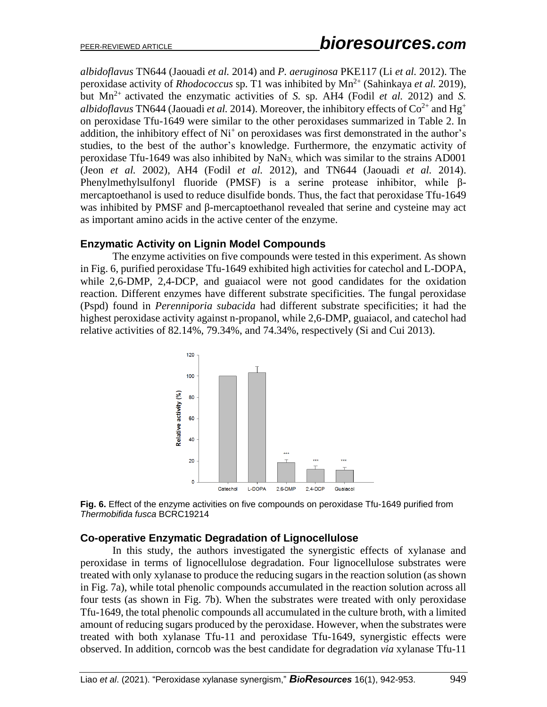*albidoflavus* TN644 (Jaouadi *et al.* 2014) and *P. aeruginosa* PKE117 (Li *et al.* 2012). The peroxidase activity of *Rhodococcus* sp. T1 was inhibited by  $Mn^{2+}$  (Sahinkaya *et al.* 2019), but  $Mn^{2+}$  activated the enzymatic activities of *S*. sp. AH4 (Fodil *et al.* 2012) and *S*. *albidoflavus* TN644 (Jaouadi *et al.* 2014). Moreover, the inhibitory effects of  $Co^{2+}$  and Hg<sup>+</sup> on peroxidase Tfu-1649 were similar to the other peroxidases summarized in Table 2. In addition, the inhibitory effect of  $Ni<sup>+</sup>$  on peroxidases was first demonstrated in the author's studies, to the best of the author's knowledge. Furthermore, the enzymatic activity of peroxidase Tfu-1649 was also inhibited by NaN3, which was similar to the strains AD001 (Jeon *et al.* 2002), AH4 (Fodil *et al.* 2012), and TN644 (Jaouadi *et al.* 2014). Phenylmethylsulfonyl fluoride (PMSF) is a serine protease inhibitor, while βmercaptoethanol is used to reduce disulfide bonds. Thus, the fact that peroxidase Tfu-1649 was inhibited by PMSF and β-mercaptoethanol revealed that serine and cysteine may act as important amino acids in the active center of the enzyme.

#### **Enzymatic Activity on Lignin Model Compounds**

The enzyme activities on five compounds were tested in this experiment. As shown in Fig. 6, purified peroxidase Tfu-1649 exhibited high activities for catechol and L-DOPA, while 2,6-DMP, 2,4-DCP, and guaiacol were not good candidates for the oxidation reaction. Different enzymes have different substrate specificities. The fungal peroxidase (Pspd) found in *Perenniporia subacida* had different substrate specificities; it had the highest peroxidase activity against n-propanol, while 2,6-DMP, guaiacol, and catechol had relative activities of 82.14%, 79.34%, and 74.34%, respectively (Si and Cui 2013).





#### **Co-operative Enzymatic Degradation of Lignocellulose**

In this study, the authors investigated the synergistic effects of xylanase and peroxidase in terms of lignocellulose degradation. Four lignocellulose substrates were treated with only xylanase to produce the reducing sugars in the reaction solution (as shown in Fig. 7a), while total phenolic compounds accumulated in the reaction solution across all four tests (as shown in Fig. 7b). When the substrates were treated with only peroxidase Tfu-1649, the total phenolic compounds all accumulated in the culture broth, with a limited amount of reducing sugars produced by the peroxidase. However, when the substrates were treated with both xylanase Tfu-11 and peroxidase Tfu-1649, synergistic effects were observed. In addition, corncob was the best candidate for degradation *via* xylanase Tfu-11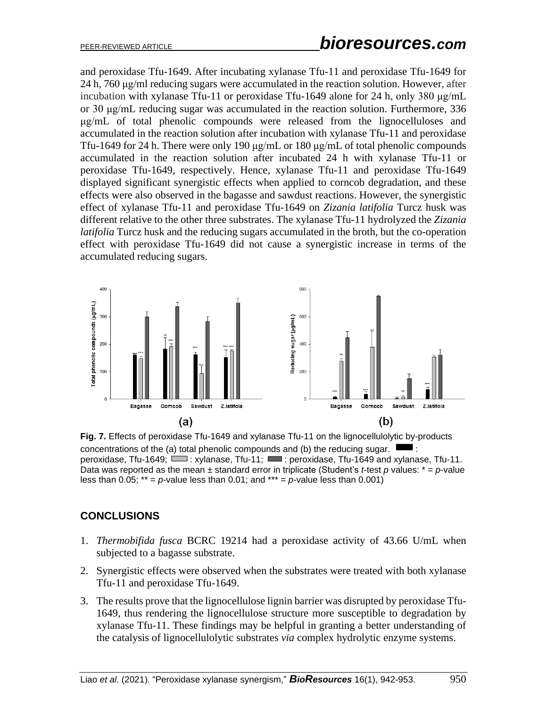and peroxidase Tfu-1649. After incubating xylanase Tfu-11 and peroxidase Tfu-1649 for 24 h, 760 μg/ml reducing sugars were accumulated in the reaction solution. However, after incubation with xylanase Tfu-11 or peroxidase Tfu-1649 alone for 24 h, only 380 μg/mL or 30 μg/mL reducing sugar was accumulated in the reaction solution. Furthermore, 336 μg/mL of total phenolic compounds were released from the lignocelluloses and accumulated in the reaction solution after incubation with xylanase Tfu-11 and peroxidase Tfu-1649 for 24 h. There were only 190 μg/mL or 180 μg/mL of total phenolic compounds accumulated in the reaction solution after incubated 24 h with xylanase Tfu-11 or peroxidase Tfu-1649, respectively. Hence, xylanase Tfu-11 and peroxidase Tfu-1649 displayed significant synergistic effects when applied to corncob degradation, and these effects were also observed in the bagasse and sawdust reactions. However, the synergistic effect of xylanase Tfu-11 and peroxidase Tfu-1649 on *Zizania latifolia* Turcz husk was different relative to the other three substrates. The xylanase Tfu-11 hydrolyzed the *Zizania latifolia* Turcz husk and the reducing sugars accumulated in the broth, but the co-operation effect with peroxidase Tfu-1649 did not cause a synergistic increase in terms of the accumulated reducing sugars.



**Fig. 7.** Effects of peroxidase Tfu-1649 and xylanase Tfu-11 on the lignocellulolytic by-products concentrations of the (a) total phenolic compounds and (b) the reducing sugar. : peroxidase, Tfu-1649;  $\Box$ : xylanase, Tfu-11;  $\Box$ : peroxidase, Tfu-1649 and xylanase, Tfu-11. Data was reported as the mean  $\pm$  standard error in triplicate (Student's *t*-test *p* values:  $* = p$ -value less than  $0.05$ ; \*\* =  $p$ -value less than  $0.01$ ; and \*\*\* =  $p$ -value less than  $0.001$ )

# **CONCLUSIONS**

- 1. *Thermobifida fusca* BCRC 19214 had a peroxidase activity of 43.66 U/mL when subjected to a bagasse substrate.
- 2. Synergistic effects were observed when the substrates were treated with both xylanase Tfu-11 and peroxidase Tfu-1649.
- 3. The results prove that the lignocellulose lignin barrier was disrupted by peroxidase Tfu-1649, thus rendering the lignocellulose structure more susceptible to degradation by xylanase Tfu-11. These findings may be helpful in granting a better understanding of the catalysis of lignocellulolytic substrates *via* complex hydrolytic enzyme systems.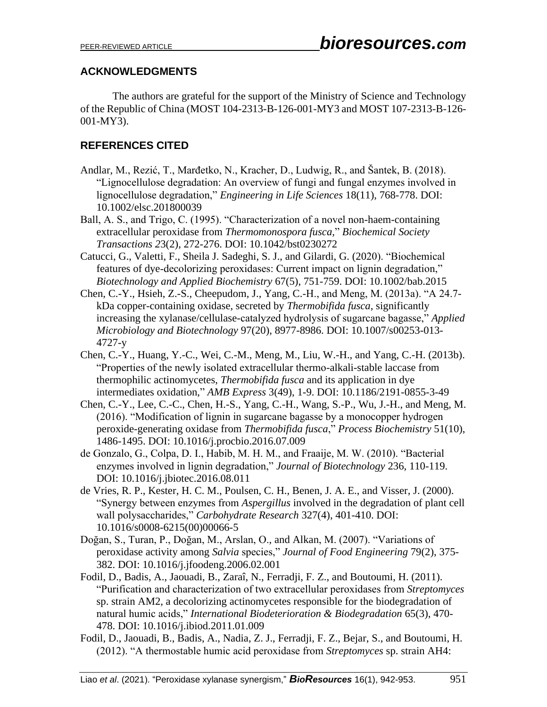## **ACKNOWLEDGMENTS**

The authors are grateful for the support of the Ministry of Science and Technology of the Republic of China (MOST 104-2313-B-126-001-MY3 and MOST 107-2313-B-126- 001-MY3).

# **REFERENCES CITED**

- Andlar, M., Rezić, T., Marđetko, N., Kracher, D., Ludwig, R., and Šantek, B. (2018). "Lignocellulose degradation: An overview of fungi and fungal enzymes involved in lignocellulose degradation," *Engineering in Life Sciences* 18(11), 768-778. DOI: 10.1002/elsc.201800039
- Ball, A. S., and Trigo, C. (1995). "Characterization of a novel non-haem-containing extracellular peroxidase from *Thermomonospora fusca,*" *Biochemical Society Transactions 2*3(2), 272-276. DOI: 10.1042/bst0230272
- [Catucci,](https://iubmb.onlinelibrary.wiley.com/action/doSearch?ContribAuthorStored=Catucci%2C+Gianluca) G., [Valetti,](https://iubmb.onlinelibrary.wiley.com/action/doSearch?ContribAuthorStored=Valetti%2C+Francesca) F., [Sheila J. Sadeghi,](https://iubmb.onlinelibrary.wiley.com/action/doSearch?ContribAuthorStored=Sadeghi%2C+Sheila+J) S. J., and [Gilardi,](https://iubmb.onlinelibrary.wiley.com/action/doSearch?ContribAuthorStored=Gilardi%2C+Gianfranco) G. (2020). "Biochemical features of dye-decolorizing peroxidases: Current impact on lignin degradation," *Biotechnology and Applied Biochemistry* 67(5), 751-759. [DOI: 10.1002/bab.2015](https://doi.org/10.1002/bab.2015)
- Chen, C.-Y., Hsieh, Z.-S., Cheepudom, J., Yang, C.-H., and Meng, M. (2013a). "A 24.7 kDa copper-containing oxidase, secreted by *Thermobifida fusca*, significantly increasing the xylanase/cellulase-catalyzed hydrolysis of sugarcane bagasse," *Applied Microbiology and Biotechnology* 97(20), 8977-8986. DOI: 10.1007/s00253-013- 4727-y
- Chen, C.-Y., Huang, Y.-C., Wei, C.-M., Meng, M., Liu, W.-H., and Yang, C.-H. (2013b). "Properties of the newly isolated extracellular thermo-alkali-stable laccase from thermophilic actinomycetes, *Thermobifida fusca* and its application in dye intermediates oxidation," *AMB Express* 3(49), 1-9. DOI: 10.1186/2191-0855-3-49
- Chen, C.-Y., Lee, C.-C., Chen, H.-S., Yang, C.-H., Wang, S.-P., Wu, J.-H., and Meng, M. (2016). "Modification of lignin in sugarcane bagasse by a monocopper hydrogen peroxide-generating oxidase from *Thermobifida fusca*," *Process Biochemistry* 51(10), 1486-1495. DOI: 10.1016/j.procbio.2016.07.009
- de Gonzalo, G., Colpa, D. I., Habib, M. H. M., and Fraaije, M. W. (2010). "Bacterial enzymes involved in lignin degradation," *Journal of Biotechnology* 236, 110-119. DOI: 10.1016/j.jbiotec.2016.08.011
- de Vries, R. P., Kester, H. C. M., Poulsen, C. H., Benen, J. A. E., and Visser, J. (2000). "Synergy between enzymes from *Aspergillus* involved in the degradation of plant cell wall polysaccharides," *Carbohydrate Research* 327(4), 401-410. DOI: 10.1016/s0008-6215(00)00066-5
- Doğan, S., Turan, P., Doğan, M., Arslan, O., and Alkan, M. (2007). "Variations of peroxidase activity among *Salvia* species," *Journal of Food Engineering* 79(2), 375- 382. DOI: 10.1016/j.jfoodeng.2006.02.001
- Fodil, D., Badis, A., Jaouadi, B., Zaraî, N., Ferradji, F. Z., and Boutoumi, H. (2011). "Purification and characterization of two extracellular peroxidases from *Streptomyces* sp. strain AM2, a decolorizing actinomycetes responsible for the biodegradation of natural humic acids," *International Biodeterioration & Biodegradation* 65(3), 470- 478. DOI: 10.1016/j.ibiod.2011.01.009
- Fodil, D., Jaouadi, B., Badis, A., Nadia, Z. J., Ferradji, F. Z., Bejar, S., and Boutoumi, H. (2012). "A thermostable humic acid peroxidase from *Streptomyces* sp. strain AH4: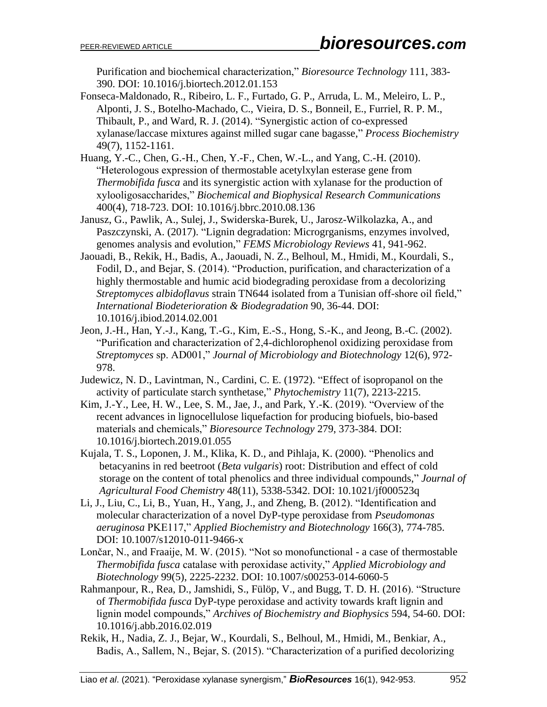Purification and biochemical characterization," *Bioresource Technology* 111, 383- 390. DOI: 10.1016/j.biortech.2012.01.153

- Fonseca-Maldonado, R., Ribeiro, L. F., Furtado, G. P., Arruda, L. M., Meleiro, L. P., Alponti, J. S., Botelho-Machado, C., Vieira, D. S., Bonneil, E., Furriel, R. P. M., Thibault, P., and Ward, R. J. (2014). "Synergistic action of co-expressed xylanase/laccase mixtures against milled sugar cane bagasse," *[Process Biochemistry](https://www.sciencedirect.com/science/journal/13595113)* 49(7), 1152-1161.
- Huang, Y.-C., Chen, G.-H., Chen, Y.-F., Chen, W.-L., and Yang, C.-H. (2010). "Heterologous expression of thermostable acetylxylan esterase gene from *Thermobifida fusca* and its synergistic action with xylanase for the production of xylooligosaccharides," *Biochemical and Biophysical Research Communications*  400(4), 718-723. DOI: 10.1016/j.bbrc.2010.08.136
- Janusz, G., Pawlik, A., Sulej, J., Swiderska-Burek, U., Jarosz-Wilkolazka, A., and Paszczynski, A. (2017). "Lignin degradation: Microgrganisms, enzymes involved, genomes analysis and evolution," *FEMS Microbiology Reviews* 41, 941-962.
- Jaouadi, B., Rekik, H., Badis, A., Jaouadi, N. Z., Belhoul, M., Hmidi, M., Kourdali, S., Fodil, D., and Bejar, S. (2014). "Production, purification, and characterization of a highly thermostable and humic acid biodegrading peroxidase from a decolorizing *Streptomyces albidoflavus* strain TN644 isolated from a Tunisian off-shore oil field," *International Biodeterioration & Biodegradation* 90, 36-44. DOI: 10.1016/j.ibiod.2014.02.001
- Jeon, J.-H., Han, Y.-J., Kang, T.-G., Kim, E.-S., Hong, S.-K., and Jeong, B.-C. (2002). "Purification and characterization of 2,4-dichlorophenol oxidizing peroxidase from *Streptomyces* sp. AD001," *Journal of Microbiology and Biotechnology* 12(6), 972- 978.
- [Judewicz,](https://www.sciencedirect.com/science/article/abs/pii/S003194220088379X#!) N. D., [Lavintman,](https://www.sciencedirect.com/science/article/abs/pii/S003194220088379X#!) N., [Cardini,](https://www.sciencedirect.com/science/article/abs/pii/S003194220088379X#!) C. E. (1972). "Effect of isopropanol on the activity of particulate starch synthetase," *[Phytochemistry](https://www.sciencedirect.com/science/journal/00319422)* 11(7), 2213-2215.
- Kim, J.-Y., Lee, H. W., Lee, S. M., Jae, J., and Park, Y.-K. (2019). "Overview of the recent advances in lignocellulose liquefaction for producing biofuels, bio-based materials and chemicals," *Bioresource Technology* 279, 373-384. DOI: 10.1016/j.biortech.2019.01.055
- Kujala, T. S., Loponen, J. M., Klika, K. D., and Pihlaja, K. (2000). "Phenolics and betacyanins in red beetroot (*Beta vulgaris*) root: Distribution and effect of cold storage on the content of total phenolics and three individual compounds," *Journal of Agricultural Food Chemistry* 48(11), 5338-5342. DOI: 10.1021/jf000523q
- Li, J., Liu, C., Li, B., Yuan, H., Yang, J., and Zheng, B. (2012). "Identification and molecular characterization of a novel DyP-type peroxidase from *Pseudomonas aeruginosa* PKE117," *Applied Biochemistry and Biotechnology* 166(3), 774-785. DOI: 10.1007/s12010-011-9466-x
- Lončar, N., and Fraaije, M. W. (2015). "Not so monofunctional a case of thermostable *Thermobifida fusca* catalase with peroxidase activity," *Applied Microbiology and Biotechnology* 99(5), 2225-2232. DOI: 10.1007/s00253-014-6060-5
- Rahmanpour, R., Rea, D., Jamshidi, S., Fülöp, V., and Bugg, T. D. H. (2016). "Structure of *Thermobifida fusca* DyP-type peroxidase and activity towards kraft lignin and lignin model compounds," *Archives of Biochemistry and Biophysics* 594, 54-60. DOI: 10.1016/j.abb.2016.02.019
- Rekik, H., Nadia, Z. J., Bejar, W., Kourdali, S., Belhoul, M., Hmidi, M., Benkiar, A., Badis, A., Sallem, N., Bejar, S. (2015). "Characterization of a purified decolorizing